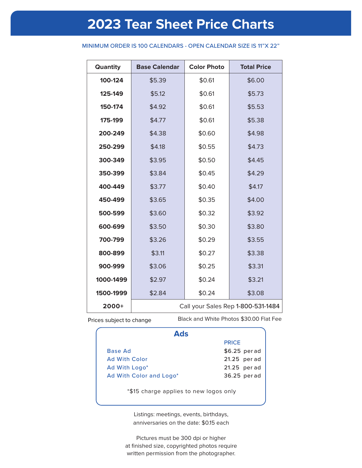# **2023 Tear Sheet Price Charts**

## MINIMUM ORDER IS 100 CALENDARS - OPEN CALENDAR SIZE IS 11"X 22"

| Quantity  | <b>Base Calendar</b>               | <b>Color Photo</b> | <b>Total Price</b> |  |
|-----------|------------------------------------|--------------------|--------------------|--|
| 100-124   | \$5.39                             | \$0.61             | \$6.00             |  |
| 125-149   | \$5.12                             |                    | \$5.73             |  |
| 150-174   | \$4.92                             | \$0.61             | \$5.53             |  |
| 175-199   | \$4.77                             | \$0.61             | \$5.38             |  |
| 200-249   | \$4.38                             |                    | \$4.98             |  |
| 250-299   | \$4.18                             | \$0.55             | \$4.73             |  |
| 300-349   | \$3.95                             |                    | \$4.45             |  |
| 350-399   | \$3.84                             | \$0.45             | \$4.29             |  |
| 400-449   | \$3.77                             | \$0.40             | \$4.17             |  |
| 450-499   | \$3.65                             | \$0.35             | \$4.00             |  |
| 500-599   | \$3.60                             |                    | \$3.92             |  |
| 600-699   | \$3.50                             | \$0.30             | \$3.80             |  |
| 700-799   | \$3.26                             | \$0.29             | \$3.55             |  |
| 800-899   | \$3.11                             | \$0.27             | \$3.38             |  |
| 900-999   | \$3.06                             | \$0.25             | \$3.31             |  |
| 1000-1499 | \$2.97                             | \$0.24             | \$3.21             |  |
| 1500-1999 | \$2.84                             | \$0.24             | \$3.08             |  |
| $2000+$   | Call your Sales Rep 1-800-531-1484 |                    |                    |  |

Prices subject to change

Black and White Photos \$30.00 Flat Fee

| Ads                                    |               |
|----------------------------------------|---------------|
|                                        | <b>PRICE</b>  |
| Base Ad                                | \$6.25 per ad |
| <b>Ad With Color</b>                   | 21.25 per ad  |
| Ad With Logo*                          | 21.25 per ad  |
| Ad With Color and Logo*                | 36.25 per ad  |
| *\$15 charge applies to new logos only |               |

Listings: meetings, events, birthdays, anniversaries on the date: \$0.15 each

Pictures must be 300 dpi or higher at finished size, copyrighted photos require written permission from the photographer.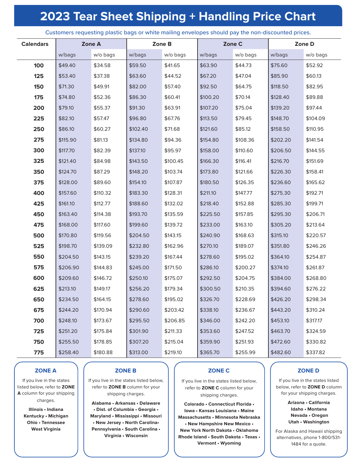# **2023 Tear Sheet Shipping + Handling Price Chart**

| <b>Calendars</b> |          | Zone A   |          | Zone B   |          | Zone C   |          | Zone D   |
|------------------|----------|----------|----------|----------|----------|----------|----------|----------|
|                  | w/bags   | w/o bags | w/bags   | w/o bags | w/bags   | w/o bags | w/bags   | w/o bags |
| 100              | \$49.40  | \$34.58  | \$59.50  | \$41.65  | \$63.90  | \$44.73  | \$75.60  | \$52.92  |
| 125              | \$53.40  | \$37.38  | \$63.60  | \$44.52  | \$67.20  | \$47.04  | \$85.90  | \$60.13  |
| 150              | \$71.30  | \$49.91  | \$82.00  | \$57.40  | \$92.50  | \$64.75  | \$118.50 | \$82.95  |
| 175              | \$74.80  | \$52.36  | \$86.30  | \$60.41  | \$100.20 | \$70.14  | \$128.40 | \$89.88  |
| 200              | \$79.10  | \$55.37  | \$91.30  | \$63.91  | \$107.20 | \$75.04  | \$139.20 | \$97.44  |
| 225              | \$82.10  | \$57.47  | \$96.80  | \$67.76  | \$113.50 | \$79.45  | \$148.70 | \$104.09 |
| 250              | \$86.10  | \$60.27  | \$102.40 | \$71.68  | \$121.60 | \$85.12  | \$158.50 | \$110.95 |
| 275              | \$115.90 | \$81.13  | \$134.80 | \$94.36  | \$154.80 | \$108.36 | \$202.20 | \$141.54 |
| 300              | \$117.70 | \$82.39  | \$137.10 | \$95.97  | \$158.00 | \$110.60 | \$206.50 | \$144.55 |
| 325              | \$121.40 | \$84.98  | \$143.50 | \$100.45 | \$166.30 | \$116.41 | \$216.70 | \$151.69 |
| 350              | \$124.70 | \$87.29  | \$148.20 | \$103.74 | \$173.80 | \$121.66 | \$226.30 | \$158.41 |
| 375              | \$128.00 | \$89.60  | \$154.10 | \$107.87 | \$180.50 | \$126.35 | \$236.60 | \$165.62 |
| 400              | \$157.60 | \$110.32 | \$183.30 | \$128.31 | \$211.10 | \$147.77 | \$275.30 | \$192.71 |
| 425              | \$161.10 | \$112.77 | \$188.60 | \$132.02 | \$218.40 | \$152.88 | \$285.30 | \$199.71 |
| 450              | \$163.40 | \$114.38 | \$193.70 | \$135.59 | \$225.50 | \$157.85 | \$295.30 | \$206.71 |
| 475              | \$168.00 | \$117.60 | \$199.60 | \$139.72 | \$233.00 | \$163.10 | \$305.20 | \$213.64 |
| 500              | \$170.80 | \$119.56 | \$204.50 | \$143.15 | \$240.90 | \$168.63 | \$315.10 | \$220.57 |
| 525              | \$198.70 | \$139.09 | \$232.80 | \$162.96 | \$270.10 | \$189.07 | \$351.80 | \$246.26 |
| 550              | \$204.50 | \$143.15 | \$239.20 | \$167.44 | \$278.60 | \$195.02 | \$364.10 | \$254.87 |
| 575              | \$206.90 | \$144.83 | \$245.00 | \$171.50 | \$286.10 | \$200.27 | \$374.10 | \$261.87 |
| 600              | \$209.60 | \$146.72 | \$250.10 | \$175.07 | \$292.50 | \$204.75 | \$384.00 | \$268.80 |
| 625              | \$213.10 | \$149.17 | \$256.20 | \$179.34 | \$300.50 | \$210.35 | \$394.60 | \$276.22 |
| 650              | \$234.50 | \$164.15 | \$278.60 | \$195.02 | \$326.70 | \$228.69 | \$426.20 | \$298.34 |
| 675              | \$244.20 | \$170.94 | \$290.60 | \$203.42 | \$338.10 | \$236.67 | \$443.20 | \$310.24 |
| 700              | \$248.10 | \$173.67 | \$295.50 | \$206.85 | \$346.00 | \$242.20 | \$453.10 | \$317.17 |
| 725              | \$251.20 | \$175.84 | \$301.90 | \$211.33 | \$353.60 | \$247.52 | \$463.70 | \$324.59 |
| 750              | \$255.50 | \$178.85 | \$307.20 | \$215.04 | \$359.90 | \$251.93 | \$472.60 | \$330.82 |
| 775              | \$258.40 | \$180.88 | \$313.00 | \$219.10 | \$365.70 | \$255.99 | \$482.60 | \$337.82 |

#### Customers requesting plastic bags or white mailing envelopes should pay the non-discounted prices.

## **ZONE A**

If you live in the states listed below, refer to **ZONE A** column for your shipping charges.

> **Illinois • Indiana Kentucky • Michigan Ohio • Tennessee West Virginia**

## **ZONE B**

If you live in the states listed below, refer to **ZONE B** column for your shipping charges.

**Alabama • Arkansas • Delaware • Dist. of Columbia • Georgia • Maryland • Mississippi • Missouri • New Jersey • North Carolina• Pennsylvania • South Carolina • Virginia • Wisconsin**

# **ZONE C**

If you live in the states listed below, refer to **ZONE C** column for your shipping charges.

**Colorado • Connecticut Florida • Iowa • Kansas Louisiana • Maine Massachusetts • Minnesota Nebraska • New Hampshire New Mexico • New York North Dakota • Oklahoma Rhode Island • South Dakota • Texas • Vermont • Wyoming**

# **ZONE D**

If you live in the states listed below, refer to **ZONE D** column for your shipping charges.

> **Arizona • California Idaho • Montana Nevada • Oregon Utah • Washington**

For Alaska and Hawaii shipping alternatives, phone 1-800/531- 1484 for a quote.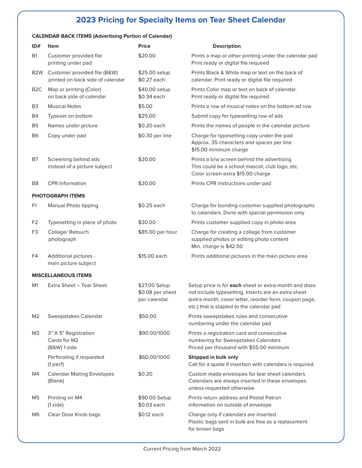# **2023 Pricing for Specialty Items on Tear Sheet Calendar**

## **CALENDAR BACK ITEMS (Advertising Portion of Calendar)**

| ID#              | Item                                                             | <b>Price</b>                                      | <b>Description</b>                                                                                                                                                                                                  |
|------------------|------------------------------------------------------------------|---------------------------------------------------|---------------------------------------------------------------------------------------------------------------------------------------------------------------------------------------------------------------------|
| <b>B1</b>        | Customer provided file<br>printing under pad                     | \$20.00                                           | Prints a map or other printing under the calendar pad<br>Print ready or digital file required                                                                                                                       |
| B <sub>2</sub> W | Customer provided file (B&W)<br>printed on back side of calendar | \$25.00 setup<br>\$0.27 each                      | Prints Black & White map or text on the back of<br>calendar. Print ready or digital file required                                                                                                                   |
| B <sub>2</sub> C | Map or printing (Color)<br>on back side of calendar              | \$40.00 setup<br>\$0.34 each                      | Prints Color map or text on back of calendar.<br>Print ready or digital file required                                                                                                                               |
| B <sub>3</sub>   | <b>Musical Notes</b>                                             | \$5.00                                            | Prints a row of musical notes on the bottom ad row                                                                                                                                                                  |
| Β4               | Typeset on bottom                                                | \$25.00                                           | Submit copy for typesetting row of ads                                                                                                                                                                              |
| B <sub>5</sub>   | Names under picture                                              | \$0.20 each                                       | Prints the names of people in the calendar picture                                                                                                                                                                  |
| B <sub>6</sub>   | Copy under pad                                                   | \$0.30 per line                                   | Charge for typesetting copy under the pad<br>Approx. 35 characters and spaces per line<br>\$15.00 minimum charge                                                                                                    |
| B7               | Screening behind ads<br>instead of a picture subject             | \$20.00                                           | Prints a b/w screen behind the advertising<br>This could be a school mascot, club logo, etc.<br>Color screen extra \$15.00 charge                                                                                   |
| B <sub>8</sub>   | <b>CPR</b> Information                                           | \$20.00                                           | Prints CPR instructions under pad                                                                                                                                                                                   |
|                  | PHOTOGRAPH ITEMS                                                 |                                                   |                                                                                                                                                                                                                     |
| F <sub>1</sub>   | Manual Photo tipping                                             | \$0.25 each                                       | Charge for bonding customer supplied photographs<br>to calendars. Done with special permission only                                                                                                                 |
| F <sub>2</sub>   | Typesetting in place of photo                                    | \$30.00                                           | Prints customer supplied copy in photo area                                                                                                                                                                         |
| F <sub>3</sub>   | Collage/Retouch<br>photograph                                    | \$85.00 per hour                                  | Charge for creating a collage from customer<br>supplied photos or editing photo content<br>Min. charge is \$42.50                                                                                                   |
| F4               | Additional pictures -<br>main picture subject                    | \$15.00 each                                      | Prints additional pictures in the main picture area                                                                                                                                                                 |
|                  | <b>MISCELLANEOUS ITEMS</b>                                       |                                                   |                                                                                                                                                                                                                     |
| M1               | Extra Sheet - Tear Sheet                                         | \$27.00 Setup<br>\$0.08 per sheet<br>per calendar | Setup price is for each sheet or extra month and does<br>not include typesetting. Inserts are an extra sheet<br>(extra month, cover letter, reorder form, coupon page,<br>etc.) that is stapled to the calendar pad |
| M <sub>2</sub>   | Sweepstakes Calendar                                             | \$50.00                                           | Prints sweepstakes rules and consecutive<br>numbering under the calendar pad                                                                                                                                        |
| MЗ               | 3" X 5" Registration<br>Cards for M2<br>$(B&W)$ 1 side           | \$90.00/1000                                      | Prints a registration card and consecutive<br>numbering for Sweepstakes Calendars<br>Priced per thousand with \$55.00 minimum                                                                                       |
|                  | Perforating if requested<br>(1 perf)                             | \$60.00/1000                                      | Shipped in bulk only<br>Call for a quote if insertion with calendars is required.                                                                                                                                   |
| M4               | <b>Calendar Mailing Envelopes</b><br>(Blank)                     | \$0.20                                            | Custom made envelopes for tear sheet calendars<br>Calendars are always inserted in these envelopes<br>unless requested otherwise                                                                                    |
| M5               | Printing on M4<br>(1 side)                                       | \$90.00 Setup<br>\$0.03 each                      | Prints return address and Postal Patron<br>information on outside of envelope                                                                                                                                       |
| M6               | Clear Door Knob bags                                             | \$0.12 each                                       | Charge only if calendars are inserted<br>Plastic bags sent in bulk are free as a replacement<br>for brown bags                                                                                                      |